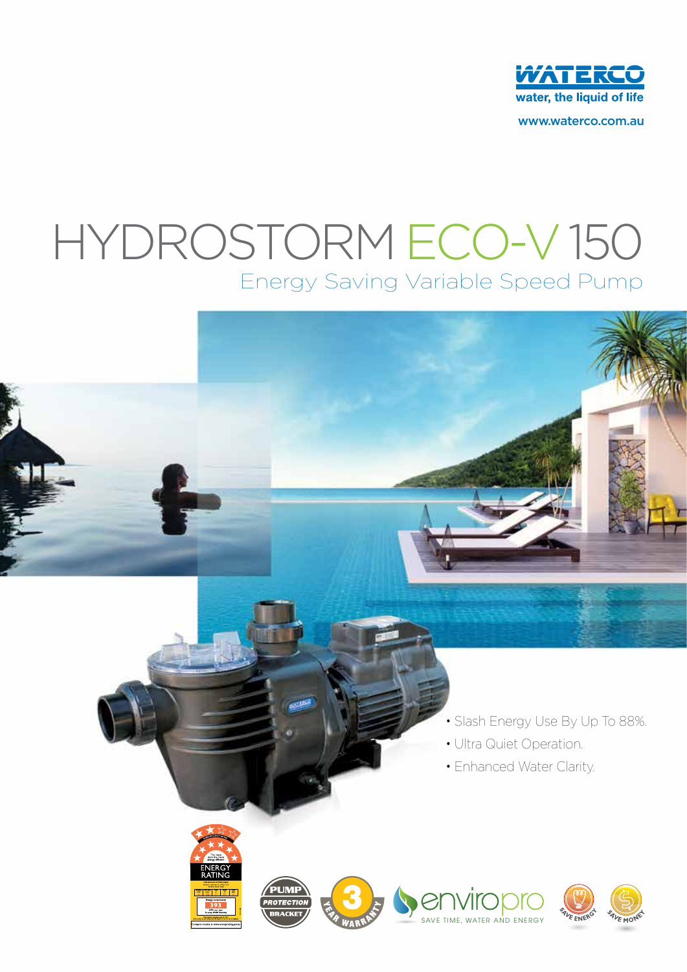

www.waterco.com.au

# Energy Saving Variable Speed Pump Hydrostorm ECO-V 150

- Slash Energy Use By Up To 88%.
- Ultra Quiet Operation.
- Enhanced Water Clarity.









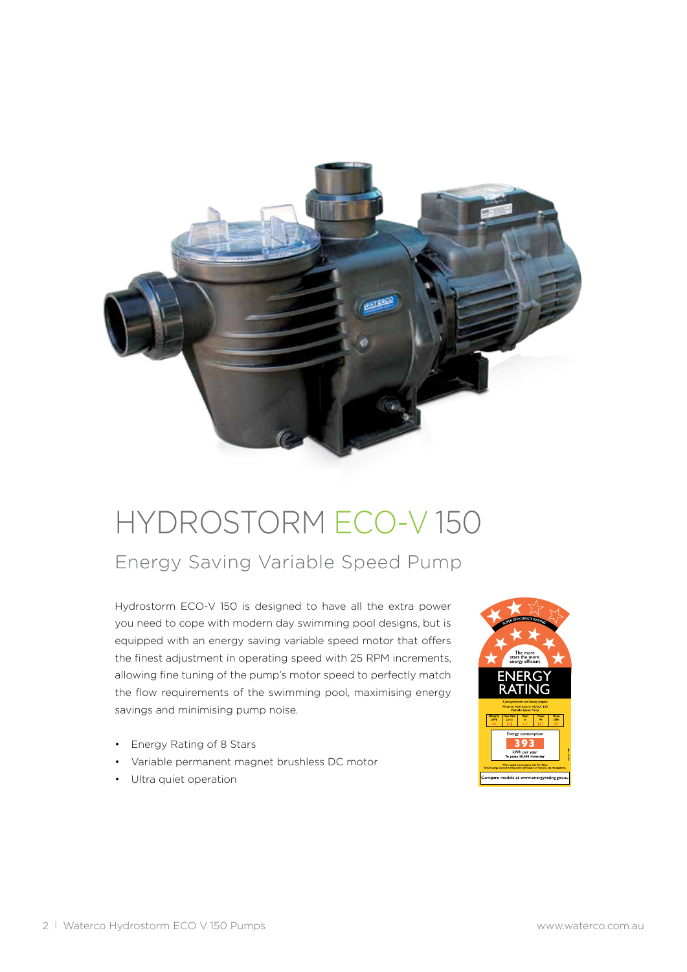

# Hydrostorm ECO-V 150

Energy Saving Variable Speed Pump

Hydrostorm ECO-V 150 is designed to have all the extra power you need to cope with modern day swimming pool designs, but is equipped with an energy saving variable speed motor that offers the finest adjustment in operating speed with 25 RPM increments, allowing fine tuning of the pump's motor speed to perfectly match the flow requirements of the swimming pool, maximising energy savings and minimising pump noise.

- Energy Rating of 8 Stars
- Variable permanent magnet brushless DC motor
- Ultra quiet operation

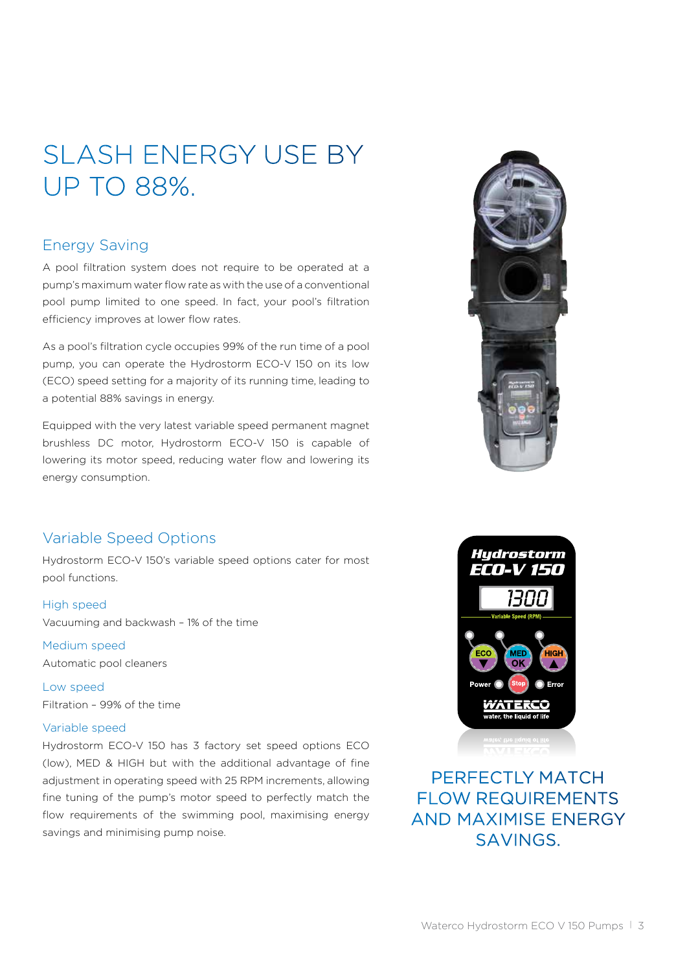## SLASH ENERGY USE BY UP TO 88%.

### Energy Saving

A pool filtration system does not require to be operated at a pump's maximum water flow rate as with the use of a conventional pool pump limited to one speed. In fact, your pool's filtration efficiency improves at lower flow rates.

As a pool's filtration cycle occupies 99% of the run time of a pool pump, you can operate the Hydrostorm ECO-V 150 on its low (ECO) speed setting for a majority of its running time, leading to a potential 88% savings in energy.

Equipped with the very latest variable speed permanent magnet brushless DC motor, Hydrostorm ECO-V 150 is capable of lowering its motor speed, reducing water flow and lowering its energy consumption.



### Variable Speed Options

Hydrostorm ECO-V 150's variable speed options cater for most pool functions.

High speed Vacuuming and backwash – 1% of the time

 Medium speed Automatic pool cleaners

Low speed Filtration – 99% of the time

#### Variable speed

Hydrostorm ECO-V 150 has 3 factory set speed options ECO (low), MED & HIGH but with the additional advantage of fine adjustment in operating speed with 25 RPM increments, allowing fine tuning of the pump's motor speed to perfectly match the flow requirements of the swimming pool, maximising energy savings and minimising pump noise.



PERFECTI Y MATCH flow requirements and maximise energy savings.

Waterco Hydrostorm ECO V 150 Pumps | 3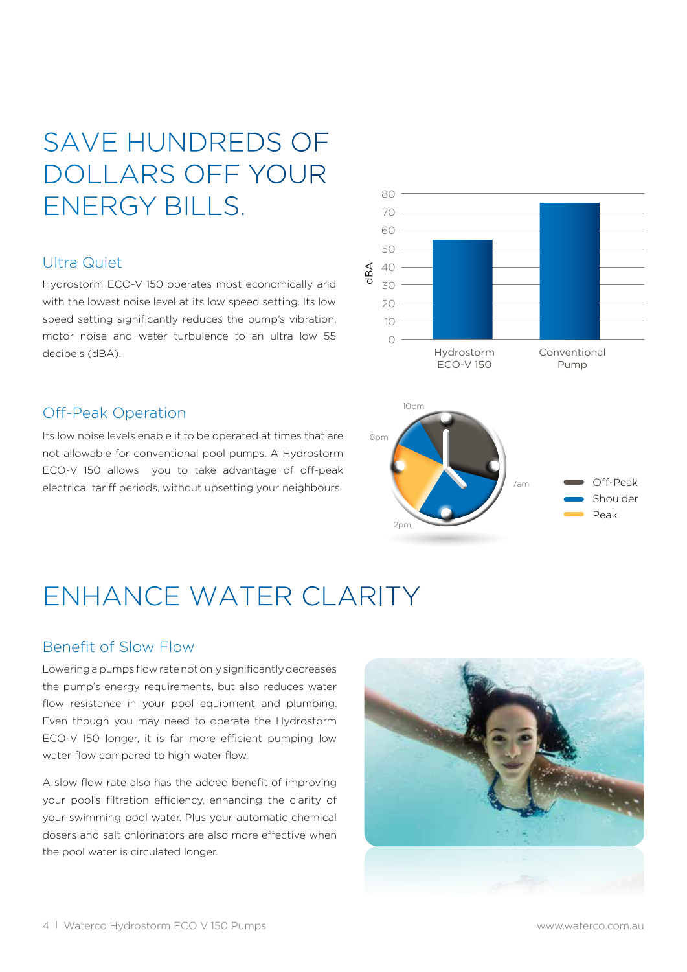## SAVE HUNDREDS OF DOLLARS OFF YOUR ENERGY BILLS.

### Ultra Quiet

Hydrostorm ECO-V 150 operates most economically and with the lowest noise level at its low speed setting. Its low speed setting significantly reduces the pump's vibration, motor noise and water turbulence to an ultra low 55 decibels (dBA).

### Off-Peak Operation

Its low noise levels enable it to be operated at times that are not allowable for conventional pool pumps. A Hydrostorm ECO-V 150 allows you to take advantage of off-peak electrical tariff periods, without upsetting your neighbours.



### ENHANCE WATER CLARITY

### Benefit of Slow Flow

Lowering a pumps flow rate not only significantly decreases the pump's energy requirements, but also reduces water flow resistance in your pool equipment and plumbing. Even though you may need to operate the Hydrostorm ECO-V 150 longer, it is far more efficient pumping low water flow compared to high water flow.

A slow flow rate also has the added benefit of improving your pool's filtration efficiency, enhancing the clarity of your swimming pool water. Plus your automatic chemical dosers and salt chlorinators are also more effective when the pool water is circulated longer.

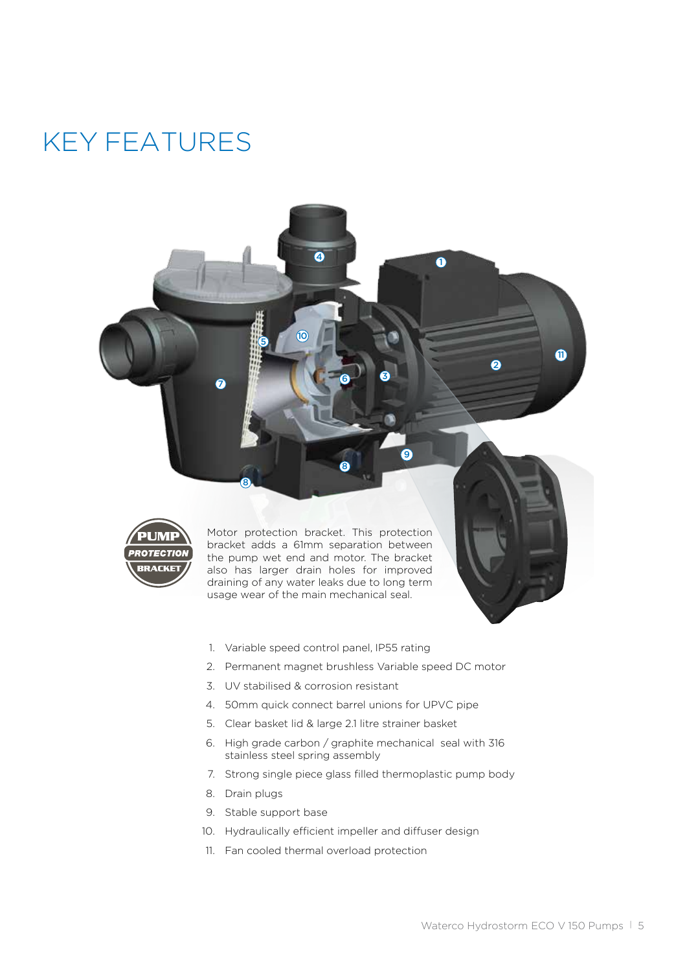### Key Features



 Motor protection bracket. This protection bracket adds a 61mm separation between the pump wet end and motor. The bracket also has larger drain holes for improved draining of any water leaks due to long term usage wear of the main mechanical seal.

8

6

3

9

 $\bullet$ 

6

 $\bf{0}$ 

- 1. Variable speed control panel, IP55 rating
- 2. Permanent magnet brushless Variable speed DC motor
- 3. UV stabilised & corrosion resistant
- 4. 50mm quick connect barrel unions for UPVC pipe
- 5. Clear basket lid & large 2.1 litre strainer basket
- 6. High grade carbon / graphite mechanical seal with 316 stainless steel spring assembly
- 7. Strong single piece glass filled thermoplastic pump body
- 8. Drain plugs
- 9. Stable support base

5

 $\omega$ 

 $\overline{a}$ 

 $\overline{\mathbf{o}}$ 

8

- 10. Hydraulically efficient impeller and diffuser design
- 11. Fan cooled thermal overload protection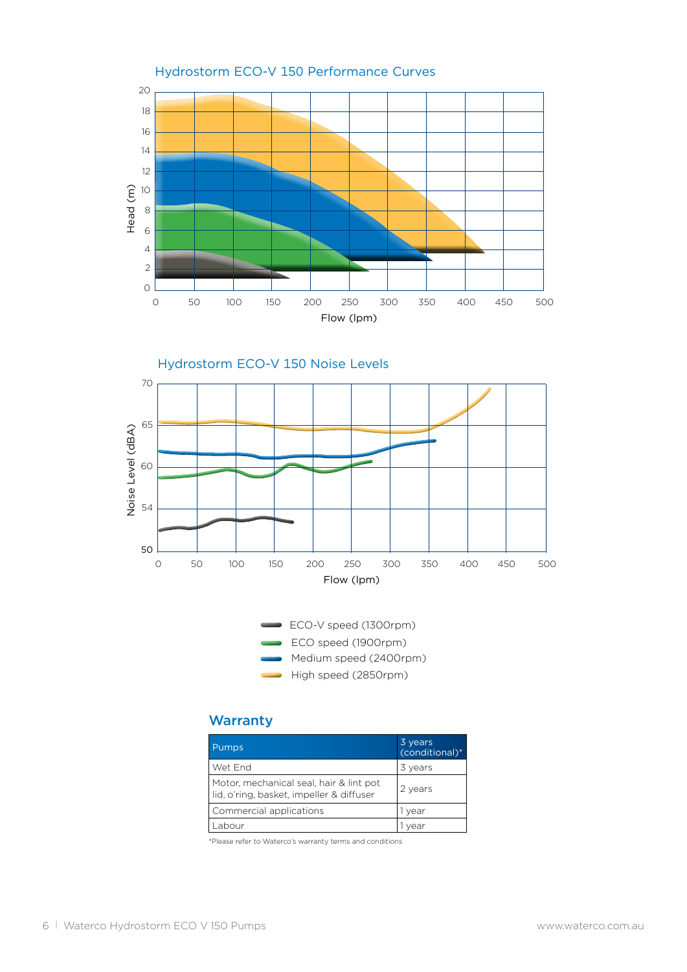





### **Warranty**

| Pumps,                                                                              | 3 years<br>(conditional)* |
|-------------------------------------------------------------------------------------|---------------------------|
| Wet End                                                                             | 3 years                   |
| Motor, mechanical seal, hair & lint pot<br>lid, o'ring, basket, impeller & diffuser | 2 years                   |
| Commercial applications                                                             | 1 year                    |
|                                                                                     |                           |

\*Please refer to Waterco's warranty terms and conditions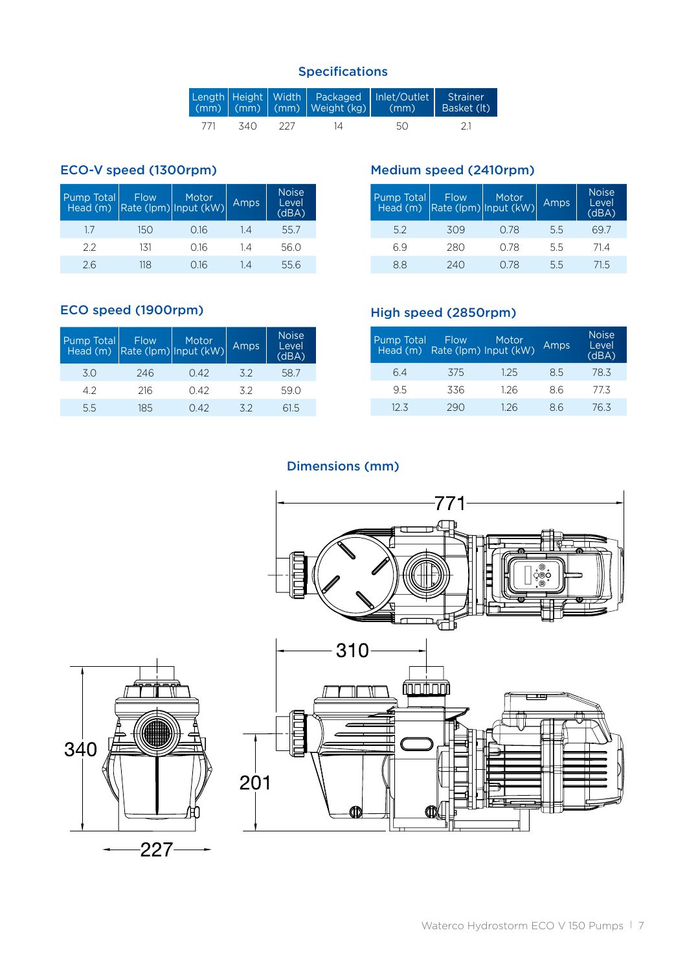### Specifications

|      |      |      | Length   Height   Width   Packaged   Inlet/Outlet  <br>$(mm)$ (mm) (mm) Weight (kg) | (mm) | Strainer<br>Basket (It) |
|------|------|------|-------------------------------------------------------------------------------------|------|-------------------------|
| -771 | -340 | -227 | 14.                                                                                 | 50   |                         |

### ECO-V speed (1300rpm)

| Pump Total | <b>Flow</b> | Motor<br>Head (m) $\left \text{Rate (lpm)}\right $ Input (kW) | Amps | <b>Noise</b><br>Level<br>(dBA) |
|------------|-------------|---------------------------------------------------------------|------|--------------------------------|
| 17         | 150         | 0.16                                                          | 14   | 55.7                           |
| 22         | 131         | 0.16                                                          | 14   | 56.0                           |
| 26         | 118         | O 16                                                          | 1Δ   | 55.6                           |

#### Medium speed (2410rpm)

| Pump Total Flow Motor<br>Head (m) Rate (lpm) Input (kW) |     |      | Amps | Noise <sup>1</sup><br>Level<br>(dBA) |
|---------------------------------------------------------|-----|------|------|--------------------------------------|
| 5.2                                                     | 309 | O 78 | 5.5  | 697                                  |
| 69                                                      | 280 | O 78 | 55   | 714                                  |
| 88                                                      | 240 | O 78 | 5.5  | 71.5                                 |

### ECO speed (1900rpm)

| Pump Total | <b>Flow</b> | Motor<br>Head (m) Rate (Ipm) Input (kW) | Amps | <b>Noise</b><br>Level<br>(dBA) |
|------------|-------------|-----------------------------------------|------|--------------------------------|
| 30         | 246         | 042                                     | 3.2  | 58.7                           |
| 42         | 216         | 042                                     | 32   | 59.0                           |
| 55         | 18.5        | 0.42                                    | 32   | 61.5                           |

### High speed (2850rpm)

| Pump Total | <b>Flow</b><br>Head (m) Rate (lpm) Input (kW) | Motor | Amps | <b>Noise</b><br>Level<br>(dBA) |
|------------|-----------------------------------------------|-------|------|--------------------------------|
| 64         | 375                                           | 125   | 8.5  | 78.3                           |
| 95         | 336                                           | 126   | 86   | 773                            |
| 12.3       | 290                                           | 126   | 86   | 76.3                           |

### Dimensions (mm)